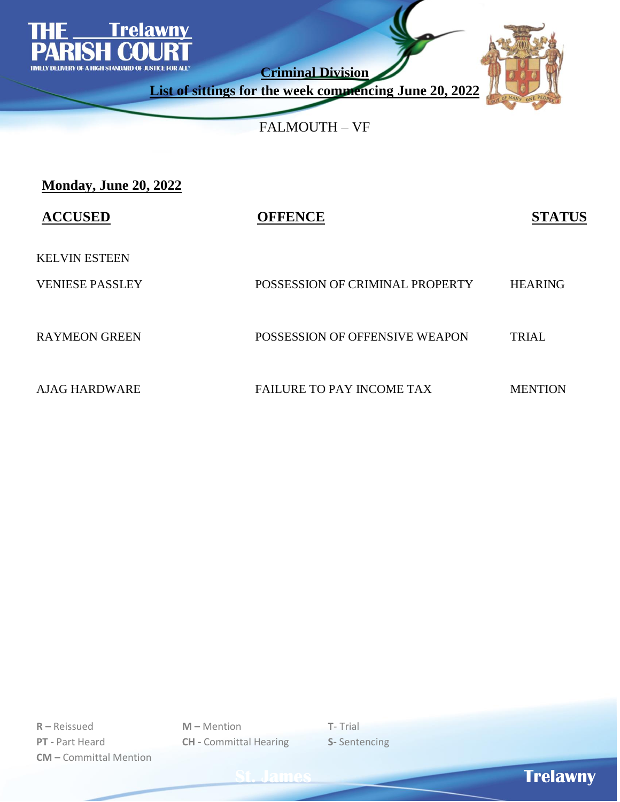

**List of sittings for the week commencing June 20, 2022**



FALMOUTH – VF

| <b>Monday, June 20, 2022</b> |                                  |                |
|------------------------------|----------------------------------|----------------|
| <b>ACCUSED</b>               | <b>OFFENCE</b>                   | <b>STATUS</b>  |
| <b>KELVIN ESTEEN</b>         |                                  |                |
| <b>VENIESE PASSLEY</b>       | POSSESSION OF CRIMINAL PROPERTY  | <b>HEARING</b> |
| <b>RAYMEON GREEN</b>         | POSSESSION OF OFFENSIVE WEAPON   | <b>TRIAL</b>   |
| <b>AJAG HARDWARE</b>         | <b>FAILURE TO PAY INCOME TAX</b> | <b>MENTION</b> |

**R –** Reissued **M –** Mention **T**- Trial **PT -** Part Heard **CH -** Committal Hearing **S-** Sentencing **CM –** Committal Mention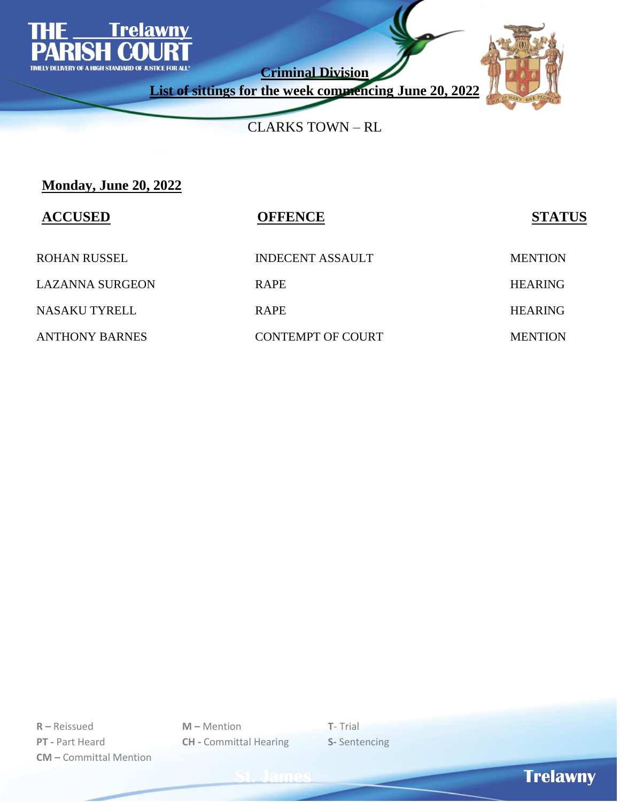

**List of sittings for the week commencing June 20, 2022**



CLARKS TOWN – RL

## **Monday, June 20, 2022**

| <b>ACCUSED</b>         | <b>OFFENCE</b>           | <b>STATUS</b>  |
|------------------------|--------------------------|----------------|
| <b>ROHAN RUSSEL</b>    | <b>INDECENT ASSAULT</b>  | <b>MENTION</b> |
| <b>LAZANNA SURGEON</b> | <b>RAPE</b>              | <b>HEARING</b> |
| <b>NASAKU TYRELL</b>   | <b>RAPE</b>              | <b>HEARING</b> |
| <b>ANTHONY BARNES</b>  | <b>CONTEMPT OF COURT</b> | <b>MENTION</b> |

**R –** Reissued **M –** Mention **T**- Trial **PT -** Part Heard **CH -** Committal Hearing **S-** Sentencing **CM –** Committal Mention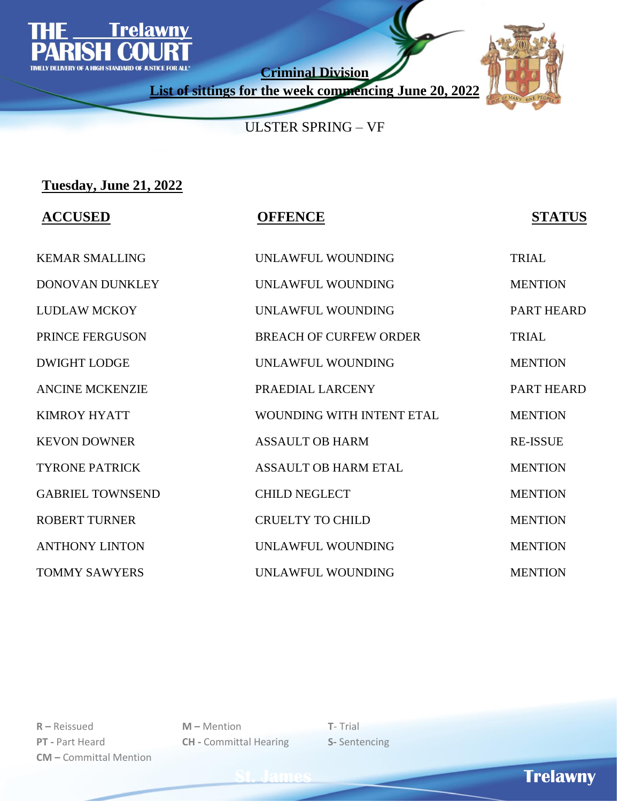

**List of sittings for the week commencing June 20, 2022**



ULSTER SPRING – VF

## **Tuesday, June 21, 2022**

| <b>ACCUSED</b>          | <b>OFFENCE</b>                | <b>STATUS</b>     |
|-------------------------|-------------------------------|-------------------|
| <b>KEMAR SMALLING</b>   | UNLAWFUL WOUNDING             | <b>TRIAL</b>      |
| <b>DONOVAN DUNKLEY</b>  | UNLAWFUL WOUNDING             | <b>MENTION</b>    |
| <b>LUDLAW MCKOY</b>     | UNLAWFUL WOUNDING             | <b>PART HEARD</b> |
| PRINCE FERGUSON         | <b>BREACH OF CURFEW ORDER</b> | <b>TRIAL</b>      |
| <b>DWIGHT LODGE</b>     | UNLAWFUL WOUNDING             | <b>MENTION</b>    |
| <b>ANCINE MCKENZIE</b>  | PRAEDIAL LARCENY              | <b>PART HEARD</b> |
| <b>KIMROY HYATT</b>     | WOUNDING WITH INTENT ETAL     | <b>MENTION</b>    |
| <b>KEVON DOWNER</b>     | <b>ASSAULT OB HARM</b>        | <b>RE-ISSUE</b>   |
| <b>TYRONE PATRICK</b>   | <b>ASSAULT OB HARM ETAL</b>   | <b>MENTION</b>    |
| <b>GABRIEL TOWNSEND</b> | <b>CHILD NEGLECT</b>          | <b>MENTION</b>    |
| <b>ROBERT TURNER</b>    | <b>CRUELTY TO CHILD</b>       | <b>MENTION</b>    |
| <b>ANTHONY LINTON</b>   | UNLAWFUL WOUNDING             | <b>MENTION</b>    |
| <b>TOMMY SAWYERS</b>    | UNLAWFUL WOUNDING             | <b>MENTION</b>    |

**R –** Reissued **M –** Mention **T**- Trial **PT -** Part Heard **CH -** Committal Hearing **S-** Sentencing **CM –** Committal Mention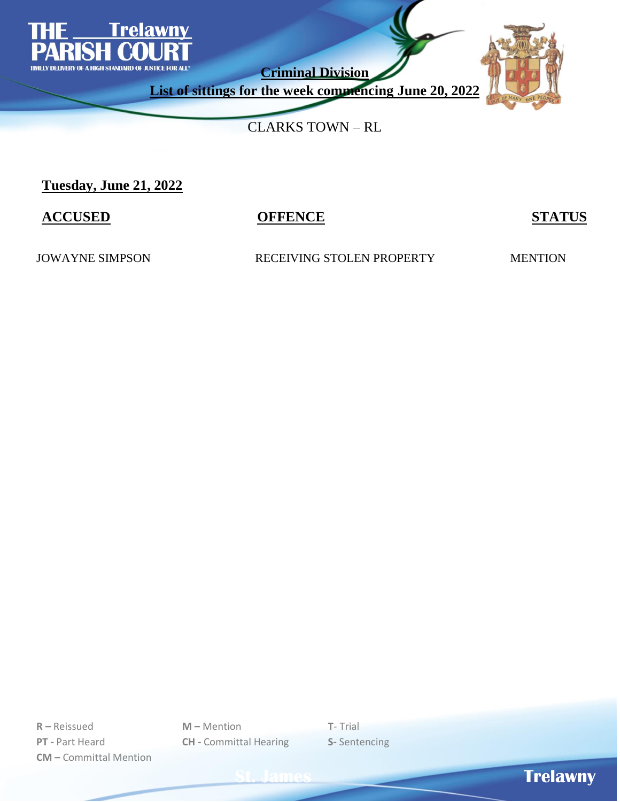

**List of sittings for the week commencing June 20, 2022**



CLARKS TOWN – RL

**Tuesday, June 21, 2022**

**ACCUSED OFFENCE STATUS**

JOWAYNE SIMPSON RECEIVING STOLEN PROPERTY MENTION

**R –** Reissued **M –** Mention **T**- Trial **PT -** Part Heard **CH -** Committal Hearing **S-** Sentencing **CM –** Committal Mention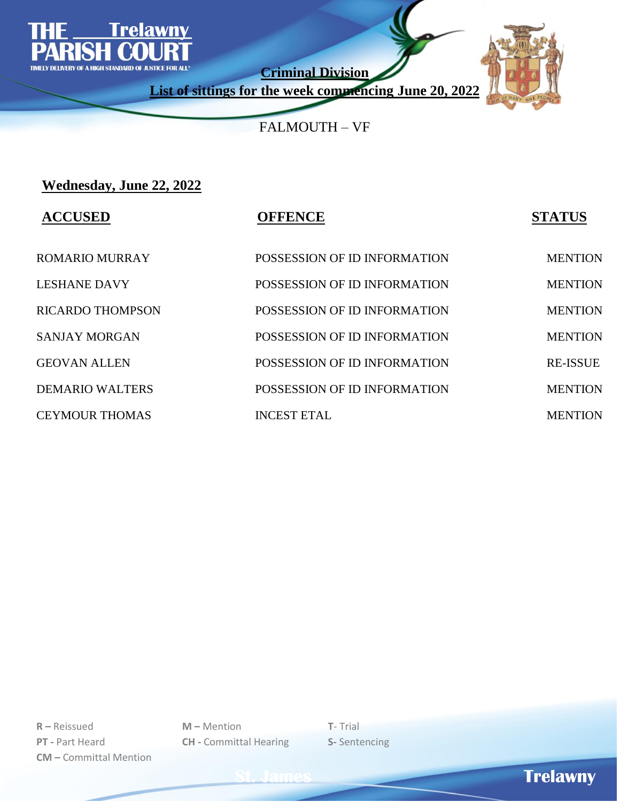

**List of sittings for the week commencing June 20, 2022**



FALMOUTH – VF

**Wednesday, June 22, 2022**

| <b>ACCUSED</b>          | <b>OFFENCE</b>               | <b>STATUS</b>   |
|-------------------------|------------------------------|-----------------|
| <b>ROMARIO MURRAY</b>   | POSSESSION OF ID INFORMATION | <b>MENTION</b>  |
| LESHANE DAVY            | POSSESSION OF ID INFORMATION | <b>MENTION</b>  |
| <b>RICARDO THOMPSON</b> | POSSESSION OF ID INFORMATION | <b>MENTION</b>  |
| <b>SANJAY MORGAN</b>    | POSSESSION OF ID INFORMATION | <b>MENTION</b>  |
| <b>GEOVAN ALLEN</b>     | POSSESSION OF ID INFORMATION | <b>RE-ISSUE</b> |
| DEMARIO WALTERS         | POSSESSION OF ID INFORMATION | <b>MENTION</b>  |
| <b>CEYMOUR THOMAS</b>   | <b>INCEST ETAL</b>           | <b>MENTION</b>  |

**R –** Reissued **M –** Mention **T**- Trial **PT -** Part Heard **CH -** Committal Hearing **S-** Sentencing **CM –** Committal Mention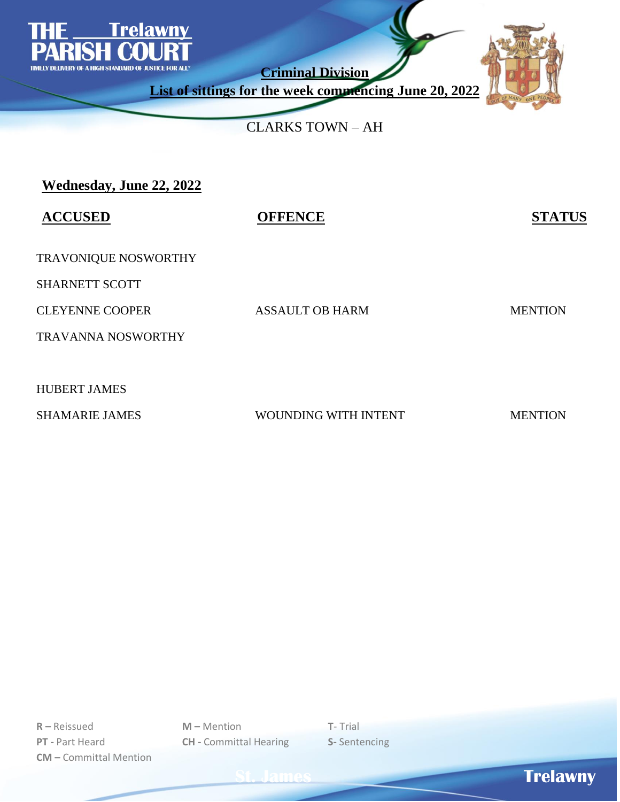

**List of sittings for the week commencing June 20, 2022**



CLARKS TOWN – AH

|--|

| <b>ACCUSED</b>            | <b>OFFENCE</b>         | <b>STATUS</b>  |
|---------------------------|------------------------|----------------|
| TRAVONIQUE NOSWORTHY      |                        |                |
| <b>SHARNETT SCOTT</b>     |                        |                |
| <b>CLEYENNE COOPER</b>    | <b>ASSAULT OB HARM</b> | <b>MENTION</b> |
| <b>TRAVANNA NOSWORTHY</b> |                        |                |
|                           |                        |                |
| <b>HUBERT JAMES</b>       |                        |                |
| <b>SHAMARIE JAMES</b>     | WOUNDING WITH INTENT   | <b>MENTION</b> |

**R –** Reissued **M –** Mention **T**- Trial **PT -** Part Heard **CH -** Committal Hearing **S-** Sentencing **CM –** Committal Mention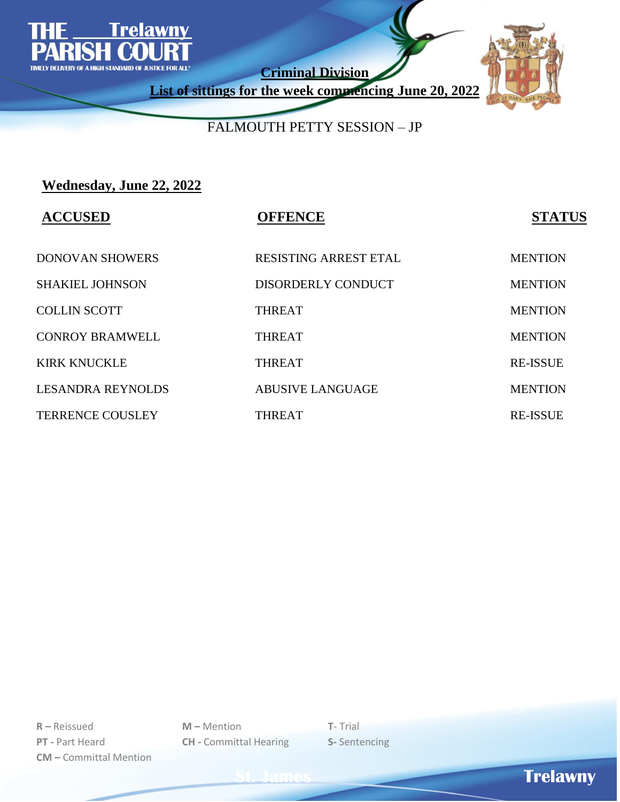

**List of sittings for the week commencing June 20, 2022**



FALMOUTH PETTY SESSION – JP

**Wednesday, June 22, 2022**

| <b>ACCUSED</b>           | <b>OFFENCE</b>               | <b>STATUS</b>   |
|--------------------------|------------------------------|-----------------|
| <b>DONOVAN SHOWERS</b>   | <b>RESISTING ARREST ETAL</b> | <b>MENTION</b>  |
| <b>SHAKIEL JOHNSON</b>   | DISORDERLY CONDUCT           | <b>MENTION</b>  |
| <b>COLLIN SCOTT</b>      | <b>THREAT</b>                | <b>MENTION</b>  |
| <b>CONROY BRAMWELL</b>   | <b>THREAT</b>                | <b>MENTION</b>  |
| <b>KIRK KNUCKLE</b>      | <b>THREAT</b>                | <b>RE-ISSUE</b> |
| <b>LESANDRA REYNOLDS</b> | <b>ABUSIVE LANGUAGE</b>      | <b>MENTION</b>  |
| <b>TERRENCE COUSLEY</b>  | <b>THREAT</b>                | <b>RE-ISSUE</b> |

**R –** Reissued **M –** Mention **T**- Trial **PT -** Part Heard **CH -** Committal Hearing **S-** Sentencing **CM –** Committal Mention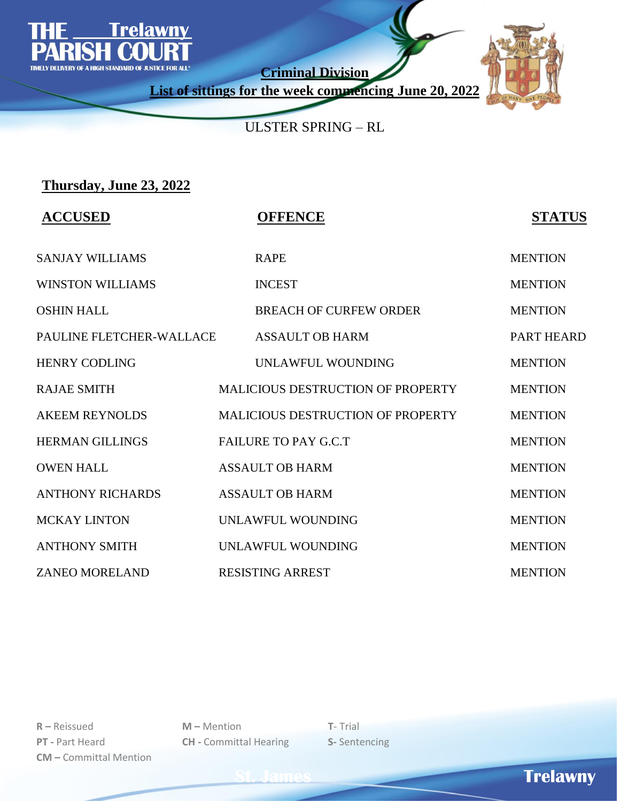

**List of sittings for the week commencing June 20, 2022**



**St. James Trelawny**

ULSTER SPRING – RL

## **Thursday, June 23, 2022**

| <b>ACCUSED</b>           | <b>OFFENCE</b>                           | <b>STATUS</b>     |
|--------------------------|------------------------------------------|-------------------|
| <b>SANJAY WILLIAMS</b>   | <b>RAPE</b>                              | <b>MENTION</b>    |
| <b>WINSTON WILLIAMS</b>  | <b>INCEST</b>                            | <b>MENTION</b>    |
| <b>OSHIN HALL</b>        | <b>BREACH OF CURFEW ORDER</b>            | <b>MENTION</b>    |
| PAULINE FLETCHER-WALLACE | <b>ASSAULT OB HARM</b>                   | <b>PART HEARD</b> |
| <b>HENRY CODLING</b>     | UNLAWFUL WOUNDING                        | <b>MENTION</b>    |
| <b>RAJAE SMITH</b>       | <b>MALICIOUS DESTRUCTION OF PROPERTY</b> | <b>MENTION</b>    |
| <b>AKEEM REYNOLDS</b>    | <b>MALICIOUS DESTRUCTION OF PROPERTY</b> | <b>MENTION</b>    |
| <b>HERMAN GILLINGS</b>   | <b>FAILURE TO PAY G.C.T</b>              | <b>MENTION</b>    |
| <b>OWEN HALL</b>         | <b>ASSAULT OB HARM</b>                   | <b>MENTION</b>    |
| <b>ANTHONY RICHARDS</b>  | <b>ASSAULT OB HARM</b>                   | <b>MENTION</b>    |
| <b>MCKAY LINTON</b>      | UNLAWFUL WOUNDING                        | <b>MENTION</b>    |
| <b>ANTHONY SMITH</b>     | UNLAWFUL WOUNDING                        | <b>MENTION</b>    |
| <b>ZANEO MORELAND</b>    | <b>RESISTING ARREST</b>                  | <b>MENTION</b>    |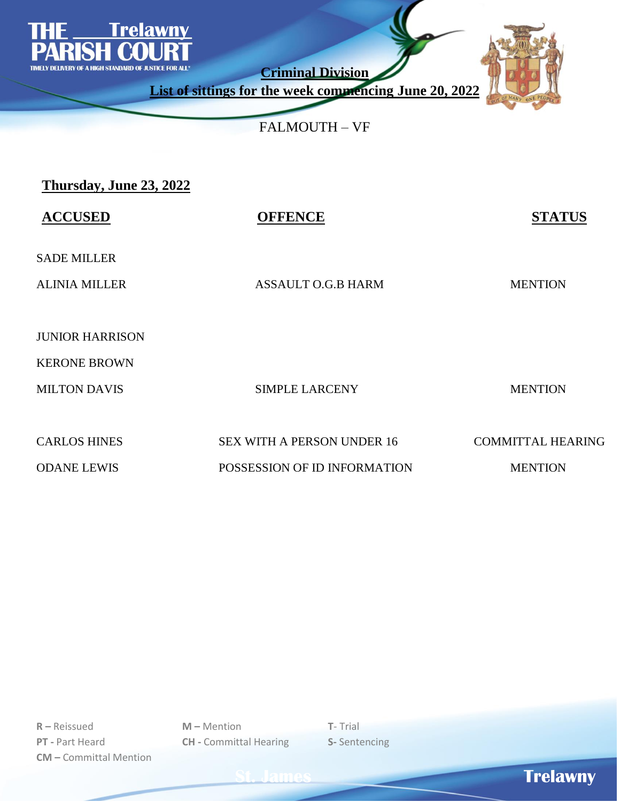

**List of sittings for the week commencing June 20, 2022**



FALMOUTH – VF

| Thursday, June 23, 2022 |  |  |
|-------------------------|--|--|
|                         |  |  |

| <b>ACCUSED</b>         | <b>OFFENCE</b>                    | <b>STATUS</b>            |
|------------------------|-----------------------------------|--------------------------|
| <b>SADE MILLER</b>     |                                   |                          |
| <b>ALINIA MILLER</b>   | <b>ASSAULT O.G.B HARM</b>         | <b>MENTION</b>           |
|                        |                                   |                          |
| <b>JUNIOR HARRISON</b> |                                   |                          |
| <b>KERONE BROWN</b>    |                                   |                          |
| <b>MILTON DAVIS</b>    | <b>SIMPLE LARCENY</b>             | <b>MENTION</b>           |
|                        |                                   |                          |
| <b>CARLOS HINES</b>    | <b>SEX WITH A PERSON UNDER 16</b> | <b>COMMITTAL HEARING</b> |
| <b>ODANE LEWIS</b>     | POSSESSION OF ID INFORMATION      | <b>MENTION</b>           |
|                        |                                   |                          |

**R –** Reissued **M –** Mention **T**- Trial **PT -** Part Heard **CH -** Committal Hearing **S-** Sentencing **CM –** Committal Mention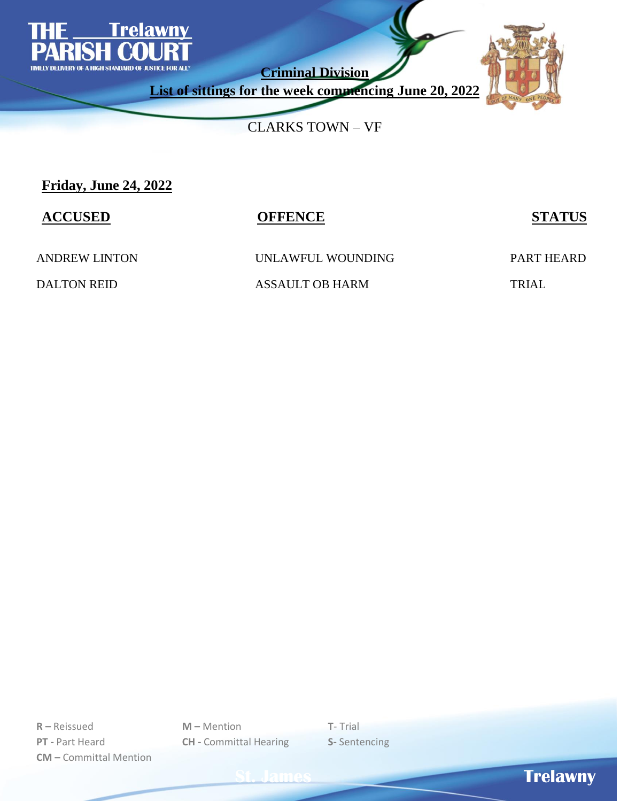

**List of sittings for the week commencing June 20, 2022**



CLARKS TOWN – VF

**Friday, June 24, 2022**

**ACCUSED OFFENCE STATUS**

ANDREW LINTON UNLAWFUL WOUNDING PART HEARD

DALTON REID ASSAULT OB HARM TRIAL

**R –** Reissued **M –** Mention **T**- Trial **PT -** Part Heard **CH -** Committal Hearing **S-** Sentencing **CM –** Committal Mention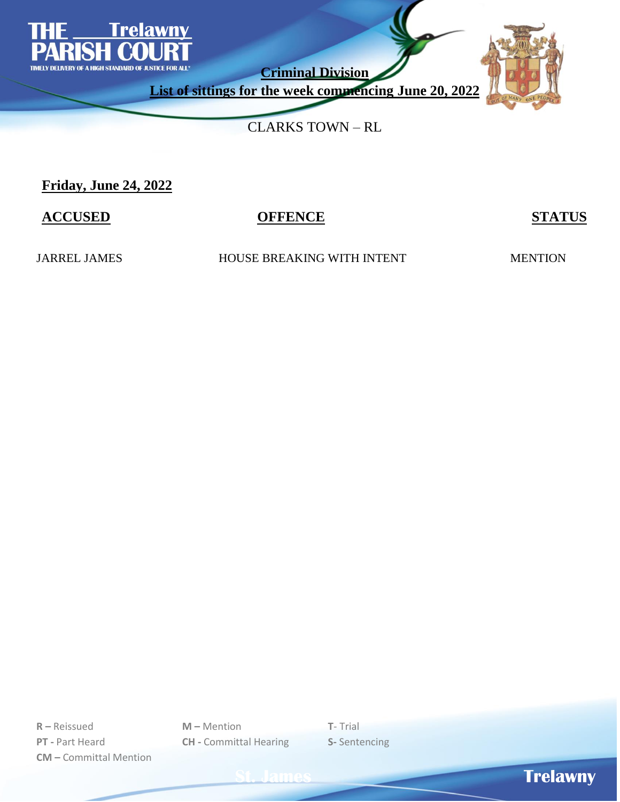

**List of sittings for the week commencing June 20, 2022**



CLARKS TOWN – RL

**Friday, June 24, 2022**

**ACCUSED OFFENCE STATUS**

JARREL JAMES HOUSE BREAKING WITH INTENT MENTION

**R –** Reissued **M –** Mention **T**- Trial **PT -** Part Heard **CH -** Committal Hearing **S-** Sentencing **CM –** Committal Mention